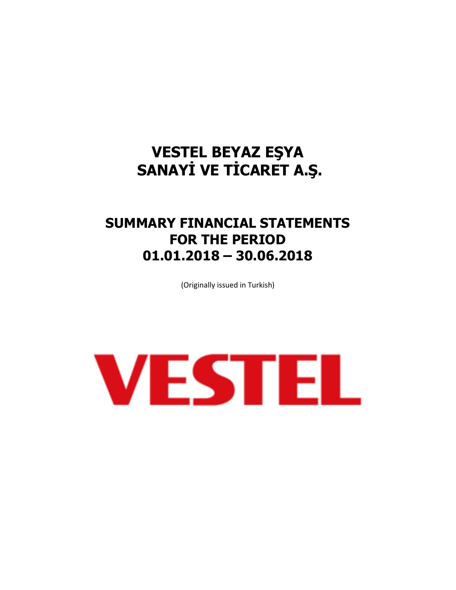## **SUMMARY FINANCIAL STATEMENTS FOR THE PERIOD 01.01.2018 – 30.06.2018**

(Originally issued in Turkish)

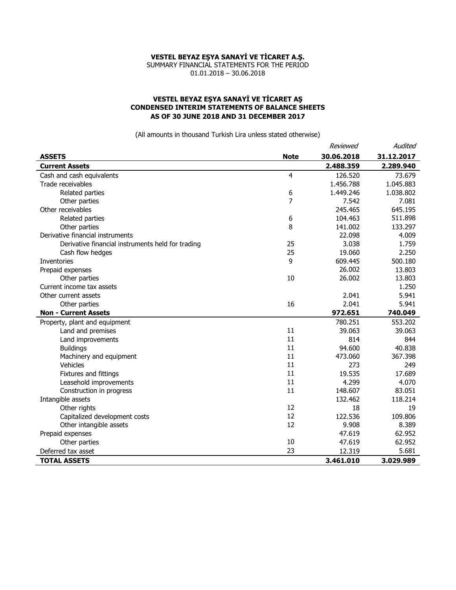SUMMARY FINANCIAL STATEMENTS FOR THE PERIOD 01.01.2018 – 30.06.2018

## **VESTEL BEYAZ EŞYA SANAYİ VE TİCARET AŞ CONDENSED INTERIM STATEMENTS OF BALANCE SHEETS AS OF 30 JUNE 2018 AND 31 DECEMBER 2017**

|                                                   |             | Reviewed   | Audited    |
|---------------------------------------------------|-------------|------------|------------|
| <b>ASSETS</b>                                     | <b>Note</b> | 30.06.2018 | 31.12.2017 |
| <b>Current Assets</b>                             |             | 2.488.359  | 2.289.940  |
| Cash and cash equivalents                         | 4           | 126.520    | 73.679     |
| Trade receivables                                 |             | 1.456.788  | 1.045.883  |
| Related parties                                   | 6           | 1.449.246  | 1.038.802  |
| Other parties                                     | 7           | 7.542      | 7.081      |
| Other receivables                                 |             | 245.465    | 645.195    |
| Related parties                                   | 6           | 104.463    | 511.898    |
| Other parties                                     | 8           | 141.002    | 133.297    |
| Derivative financial instruments                  |             | 22.098     | 4.009      |
| Derivative financial instruments held for trading | 25          | 3.038      | 1.759      |
| Cash flow hedges                                  | 25          | 19.060     | 2.250      |
| Inventories                                       | 9           | 609.445    | 500.180    |
| Prepaid expenses                                  |             | 26,002     | 13.803     |
| Other parties                                     | 10          | 26.002     | 13.803     |
| Current income tax assets                         |             |            | 1.250      |
| Other current assets                              |             | 2.041      | 5.941      |
| Other parties                                     | 16          | 2.041      | 5.941      |
| <b>Non - Current Assets</b>                       |             | 972.651    | 740.049    |
| Property, plant and equipment                     |             | 780.251    | 553.202    |
| Land and premises                                 | 11          | 39.063     | 39.063     |
| Land improvements                                 | 11          | 814        | 844        |
| <b>Buildings</b>                                  | 11          | 94.600     | 40.838     |
| Machinery and equipment                           | 11          | 473.060    | 367.398    |
| Vehicles                                          | 11          | 273        | 249        |
| Fixtures and fittings                             | 11          | 19.535     | 17.689     |
| Leasehold improvements                            | 11          | 4.299      | 4.070      |
| Construction in progress                          | 11          | 148.607    | 83.051     |
| Intangible assets                                 |             | 132.462    | 118.214    |
| Other rights                                      | 12          | 18         | 19         |
| Capitalized development costs                     | 12          | 122.536    | 109.806    |
| Other intangible assets                           | 12          | 9.908      | 8.389      |
| Prepaid expenses                                  |             | 47.619     | 62.952     |
| Other parties                                     | 10          | 47.619     | 62.952     |
| Deferred tax asset                                | 23          | 12.319     | 5.681      |
| <b>TOTAL ASSETS</b>                               |             | 3.461.010  | 3.029.989  |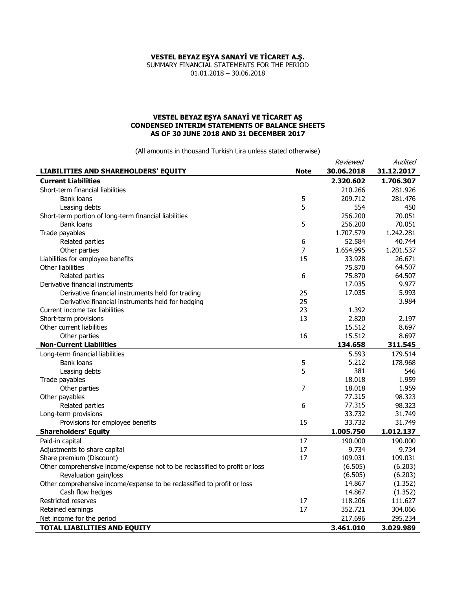SUMMARY FINANCIAL STATEMENTS FOR THE PERIOD 01.01.2018 – 30.06.2018

### **VESTEL BEYAZ EŞYA SANAYİ VE TİCARET AŞ CONDENSED INTERIM STATEMENTS OF BALANCE SHEETS AS OF 30 JUNE 2018 AND 31 DECEMBER 2017**

|                                                                             |                | Reviewed   | Audited    |
|-----------------------------------------------------------------------------|----------------|------------|------------|
| <b>LIABILITIES AND SHAREHOLDERS' EQUITY</b>                                 | <b>Note</b>    | 30.06.2018 | 31.12.2017 |
| <b>Current Liabilities</b>                                                  |                | 2.320.602  | 1.706.307  |
| Short-term financial liabilities                                            |                | 210.266    | 281.926    |
| Bank loans                                                                  | 5              | 209.712    | 281.476    |
| Leasing debts                                                               | 5              | 554        | 450        |
| Short-term portion of long-term financial liabilities                       |                | 256,200    | 70.051     |
| <b>Bank loans</b>                                                           | 5              | 256,200    | 70.051     |
| Trade payables                                                              |                | 1.707.579  | 1.242.281  |
| Related parties                                                             | 6              | 52.584     | 40.744     |
| Other parties                                                               | 7              | 1.654.995  | 1.201.537  |
| Liabilities for employee benefits                                           | 15             | 33.928     | 26.671     |
| Other liabilities                                                           |                | 75.870     | 64.507     |
| Related parties                                                             | 6              | 75.870     | 64.507     |
| Derivative financial instruments                                            |                | 17.035     | 9.977      |
| Derivative financial instruments held for trading                           | 25             | 17.035     | 5.993      |
| Derivative financial instruments held for hedging                           | 25             |            | 3.984      |
| Current income tax liabilities                                              | 23             | 1.392      |            |
| Short-term provisions                                                       | 13             | 2.820      | 2.197      |
| Other current liabilities                                                   |                | 15.512     | 8.697      |
| Other parties                                                               | 16             | 15.512     | 8.697      |
| <b>Non-Current Liabilities</b>                                              |                | 134.658    | 311.545    |
| Long-term financial liabilities                                             |                | 5.593      | 179.514    |
| <b>Bank loans</b>                                                           | 5              | 5.212      | 178.968    |
| Leasing debts                                                               | 5              | 381        | 546        |
| Trade payables                                                              |                | 18.018     | 1.959      |
| Other parties                                                               | $\overline{7}$ | 18.018     | 1.959      |
| Other payables                                                              |                | 77.315     | 98.323     |
| Related parties                                                             | 6              | 77.315     | 98.323     |
| Long-term provisions                                                        |                | 33.732     | 31.749     |
| Provisions for employee benefits                                            | 15             | 33.732     | 31.749     |
| <b>Shareholders' Equity</b>                                                 |                | 1.005.750  | 1.012.137  |
| Paid-in capital                                                             | 17             | 190.000    | 190.000    |
| Adjustments to share capital                                                | 17             | 9.734      | 9.734      |
| Share premium (Discount)                                                    | 17             | 109.031    | 109.031    |
| Other comprehensive income/expense not to be reclassified to profit or loss |                | (6.505)    | (6.203)    |
| Revaluation gain/loss                                                       |                | (6.505)    | (6.203)    |
| Other comprehensive income/expense to be reclassified to profit or loss     |                | 14.867     | (1.352)    |
| Cash flow hedges                                                            |                | 14.867     | (1.352)    |
| <b>Restricted reserves</b>                                                  | 17             | 118.206    | 111.627    |
| Retained earnings                                                           | 17             | 352.721    | 304.066    |
| Net income for the period                                                   |                | 217.696    | 295.234    |
| TOTAL LIABILITIES AND EQUITY                                                |                | 3.461.010  | 3.029.989  |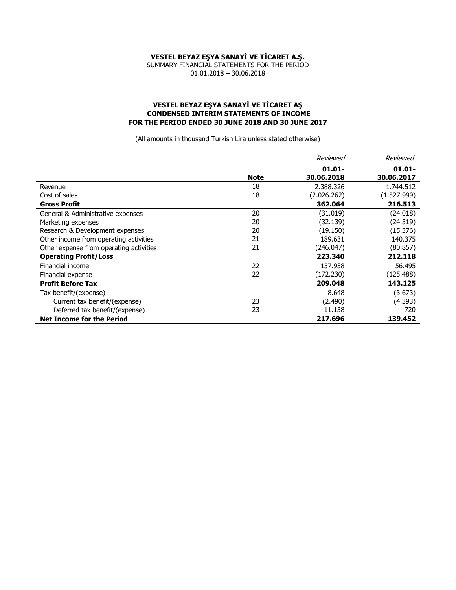SUMMARY FINANCIAL STATEMENTS FOR THE PERIOD 01.01.2018 – 30.06.2018

#### **VESTEL BEYAZ EŞYA SANAYİ VE TİCARET AŞ CONDENSED INTERIM STATEMENTS OF INCOME FOR THE PERIOD ENDED 30 JUNE 2018 AND 30 JUNE 2017**

|                                         |             | Reviewed    | Reviewed    |
|-----------------------------------------|-------------|-------------|-------------|
|                                         |             | $01.01 -$   | $01.01 -$   |
|                                         | <b>Note</b> | 30.06.2018  | 30.06.2017  |
| Revenue                                 | 18          | 2.388.326   | 1.744.512   |
| Cost of sales                           | 18          | (2.026.262) | (1.527.999) |
| <b>Gross Profit</b>                     |             | 362.064     | 216.513     |
| General & Administrative expenses       | 20          | (31.019)    | (24.018)    |
| Marketing expenses                      | 20          | (32.139)    | (24.519)    |
| Research & Development expenses         | 20          | (19.150)    | (15.376)    |
| Other income from operating activities  | 21          | 189.631     | 140.375     |
| Other expense from operating activities | 21          | (246.047)   | (80.857)    |
| <b>Operating Profit/Loss</b>            |             | 223.340     | 212.118     |
| Financial income                        | 22          | 157.938     | 56.495      |
| Financial expense                       | 22          | (172.230)   | (125.488)   |
| <b>Profit Before Tax</b>                |             | 209.048     | 143.125     |
| Tax benefit/(expense)                   |             | 8.648       | (3.673)     |
| Current tax benefit/(expense)           | 23          | (2.490)     | (4.393)     |
| Deferred tax benefit/(expense)          | 23          | 11.138      | 720         |
| <b>Net Income for the Period</b>        |             | 217.696     | 139.452     |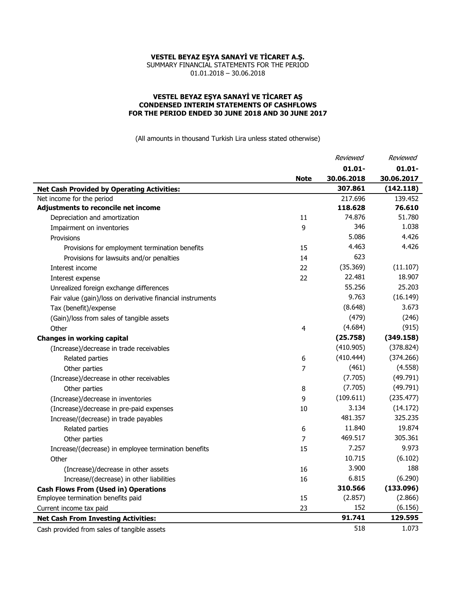SUMMARY FINANCIAL STATEMENTS FOR THE PERIOD 01.01.2018 – 30.06.2018

#### **VESTEL BEYAZ EŞYA SANAYİ VE TİCARET AŞ CONDENSED INTERIM STATEMENTS OF CASHFLOWS FOR THE PERIOD ENDED 30 JUNE 2018 AND 30 JUNE 2017**

|                                                            |                | Reviewed   | Reviewed   |
|------------------------------------------------------------|----------------|------------|------------|
|                                                            |                | $01.01 -$  | $01.01 -$  |
|                                                            | <b>Note</b>    | 30.06.2018 | 30.06.2017 |
| <b>Net Cash Provided by Operating Activities:</b>          |                | 307.861    | (142.118)  |
| Net income for the period                                  |                | 217.696    | 139.452    |
| Adjustments to reconcile net income                        |                | 118.628    | 76.610     |
| Depreciation and amortization                              | 11             | 74.876     | 51.780     |
| Impairment on inventories                                  | 9              | 346        | 1.038      |
| Provisions                                                 |                | 5.086      | 4.426      |
| Provisions for employment termination benefits             | 15             | 4.463      | 4.426      |
| Provisions for lawsuits and/or penalties                   | 14             | 623        |            |
| Interest income                                            | 22             | (35.369)   | (11.107)   |
| Interest expense                                           | 22             | 22.481     | 18.907     |
| Unrealized foreign exchange differences                    |                | 55.256     | 25.203     |
| Fair value (gain)/loss on derivative financial instruments |                | 9.763      | (16.149)   |
| Tax (benefit)/expense                                      |                | (8.648)    | 3.673      |
| (Gain)/loss from sales of tangible assets                  |                | (479)      | (246)      |
| Other                                                      | $\overline{4}$ | (4.684)    | (915)      |
| <b>Changes in working capital</b>                          |                | (25.758)   | (349.158)  |
| (Increase)/decrease in trade receivables                   |                | (410.905)  | (378.824)  |
| Related parties                                            | 6              | (410.444)  | (374.266)  |
| Other parties                                              | 7              | (461)      | (4.558)    |
| (Increase)/decrease in other receivables                   |                | (7.705)    | (49.791)   |
| Other parties                                              | 8              | (7.705)    | (49.791)   |
| (Increase)/decrease in inventories                         | 9              | (109.611)  | (235.477)  |
| (Increase)/decrease in pre-paid expenses                   | 10             | 3.134      | (14.172)   |
| Increase/(decrease) in trade payables                      |                | 481.357    | 325.235    |
| Related parties                                            | 6              | 11.840     | 19.874     |
| Other parties                                              | 7              | 469.517    | 305.361    |
| Increase/(decrease) in employee termination benefits       | 15             | 7.257      | 9.973      |
| Other                                                      |                | 10.715     | (6.102)    |
| (Increase)/decrease in other assets                        | 16             | 3.900      | 188        |
| Increase/(decrease) in other liabilities                   | 16             | 6.815      | (6.290)    |
| <b>Cash Flows From (Used in) Operations</b>                |                | 310.566    | (133.096)  |
| Employee termination benefits paid                         | 15             | (2.857)    | (2.866)    |
| Current income tax paid                                    | 23             | 152        | (6.156)    |
| <b>Net Cash From Investing Activities:</b>                 |                | 91.741     | 129.595    |
| Cash provided from sales of tangible assets                |                | 518        | 1.073      |